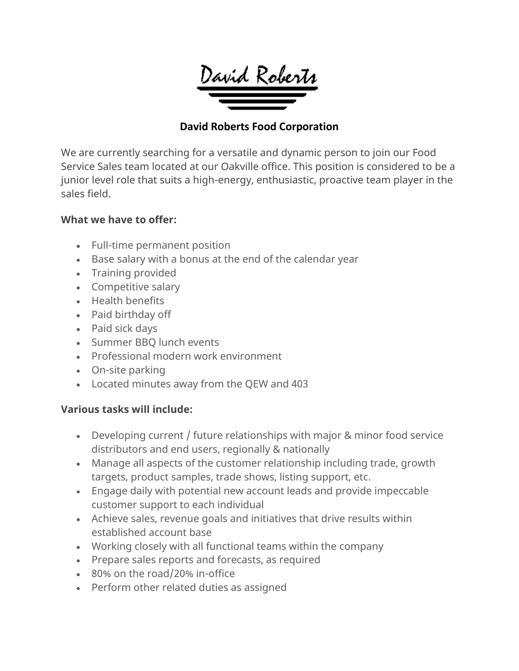David Roberts

### **David Roberts Food Corporation**

We are currently searching for a versatile and dynamic person to join our Food Service Sales team located at our Oakville office. This position is considered to be a junior level role that suits a high-energy, enthusiastic, proactive team player in the sales field.

## **What we have to offer:**

- Full-time permanent position
- Base salary with a bonus at the end of the calendar year
- Training provided
- Competitive salary
- Health benefits
- Paid birthday off
- Paid sick days
- Summer BBQ lunch events
- Professional modern work environment
- On-site parking
- Located minutes away from the QEW and 403

#### **Various tasks will include:**

- Developing current / future relationships with major & minor food service distributors and end users, regionally & nationally
- Manage all aspects of the customer relationship including trade, growth targets, product samples, trade shows, listing support, etc.
- Engage daily with potential new account leads and provide impeccable customer support to each individual
- Achieve sales, revenue goals and initiatives that drive results within established account base
- Working closely with all functional teams within the company
- Prepare sales reports and forecasts, as required
- 80% on the road/20% in-office
- Perform other related duties as assigned